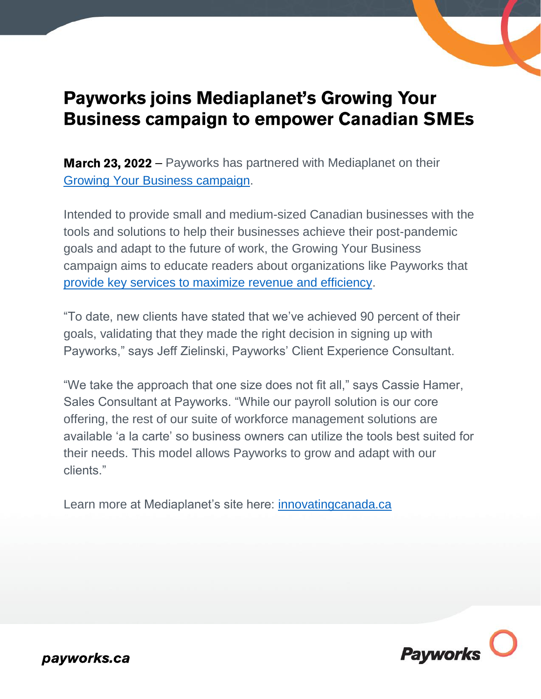

## **Payworks joins Mediaplanet's Growing Your Business campaign to empower Canadian SMEs**

**March 23, 2022** – Payworks has partnered with Mediaplanet on their [Growing Your Business campaign.](https://www.innovatingcanada.ca/campaign/diversity/growing-business/)

Intended to provide small and medium-sized Canadian businesses with the tools and solutions to help their businesses achieve their post-pandemic goals and adapt to the future of work, the Growing Your Business campaign aims to educate readers about organizations like Payworks that [provide key services to maximize revenue and efficiency.](https://www.innovatingcanada.ca/diversity/growing-business/business-owners-will-still-have-to-manage-payroll-payworks-makes-it-easier/)

"To date, new clients have stated that we've achieved 90 percent of their goals, validating that they made the right decision in signing up with Payworks," says Jeff Zielinski, Payworks' Client Experience Consultant.

"We take the approach that one size does not fit all," says Cassie Hamer, Sales Consultant at Payworks. "While our payroll solution is our core offering, the rest of our suite of workforce management solutions are available 'a la carte' so business owners can utilize the tools best suited for their needs. This model allows Payworks to grow and adapt with our clients."

Learn more at Mediaplanet's site here:<innovatingcanada.ca>



payworks.ca